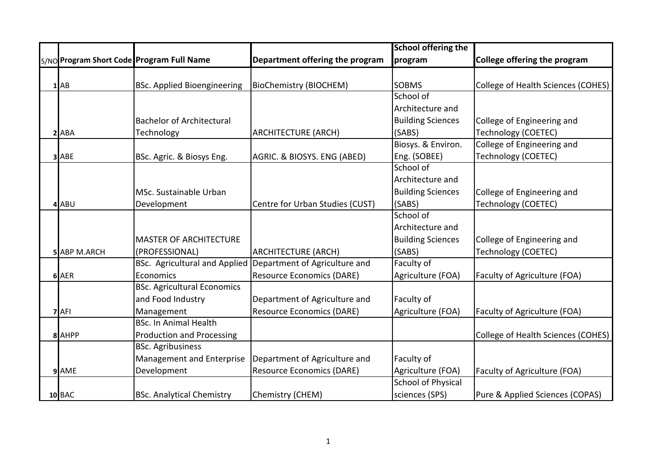|   |                     |                                           |                                  | <b>School offering the</b> |                                    |
|---|---------------------|-------------------------------------------|----------------------------------|----------------------------|------------------------------------|
|   |                     | S/NO Program Short Code Program Full Name | Department offering the program  | program                    | College offering the program       |
|   |                     |                                           |                                  |                            |                                    |
|   | $1$ AB              | <b>BSc. Applied Bioengineering</b>        | <b>BioChemistry (BIOCHEM)</b>    | <b>SOBMS</b>               | College of Health Sciences (COHES) |
|   |                     |                                           |                                  | School of                  |                                    |
|   |                     |                                           |                                  | Architecture and           |                                    |
|   |                     | <b>Bachelor of Architectural</b>          |                                  | <b>Building Sciences</b>   | College of Engineering and         |
| 2 | <b>ABA</b>          | Technology                                | <b>ARCHITECTURE (ARCH)</b>       | (SABS)                     | <b>Technology (COETEC)</b>         |
|   |                     |                                           |                                  | Biosys. & Environ.         | College of Engineering and         |
|   | 3 ABE               | BSc. Agric. & Biosys Eng.                 | AGRIC. & BIOSYS. ENG (ABED)      | Eng. (SOBEE)               | Technology (COETEC)                |
|   |                     |                                           |                                  | School of                  |                                    |
|   |                     |                                           |                                  | Architecture and           |                                    |
|   |                     | MSc. Sustainable Urban                    |                                  | <b>Building Sciences</b>   | College of Engineering and         |
|   | 4ABU                | Development                               | Centre for Urban Studies (CUST)  | (SABS)                     | <b>Technology (COETEC)</b>         |
|   |                     |                                           |                                  | School of                  |                                    |
|   |                     |                                           |                                  | Architecture and           |                                    |
|   |                     | <b>MASTER OF ARCHITECTURE</b>             |                                  | <b>Building Sciences</b>   | College of Engineering and         |
|   | <b>5 ABP M.ARCH</b> | (PROFESSIONAL)                            | <b>ARCHITECTURE (ARCH)</b>       | (SABS)                     | Technology (COETEC)                |
|   |                     | <b>BSc. Agricultural and Applied</b>      | Department of Agriculture and    | Faculty of                 |                                    |
|   | 6 AER               | Economics                                 | <b>Resource Economics (DARE)</b> | Agriculture (FOA)          | Faculty of Agriculture (FOA)       |
|   |                     | <b>BSc. Agricultural Economics</b>        |                                  |                            |                                    |
|   |                     | and Food Industry                         | Department of Agriculture and    | Faculty of                 |                                    |
|   | 'AFI                | Management                                | <b>Resource Economics (DARE)</b> | Agriculture (FOA)          | Faculty of Agriculture (FOA)       |
|   |                     | <b>BSc. In Animal Health</b>              |                                  |                            |                                    |
|   | 8 AHPP              | <b>Production and Processing</b>          |                                  |                            | College of Health Sciences (COHES) |
|   |                     | <b>BSc. Agribusiness</b>                  |                                  |                            |                                    |
|   |                     | Management and Enterprise                 | Department of Agriculture and    | Faculty of                 |                                    |
|   | 9 AME               | Development                               | <b>Resource Economics (DARE)</b> | Agriculture (FOA)          | Faculty of Agriculture (FOA)       |
|   |                     |                                           |                                  | <b>School of Physical</b>  |                                    |
|   | 10 BAC              | <b>BSc. Analytical Chemistry</b>          | Chemistry (CHEM)                 | sciences (SPS)             | Pure & Applied Sciences (COPAS)    |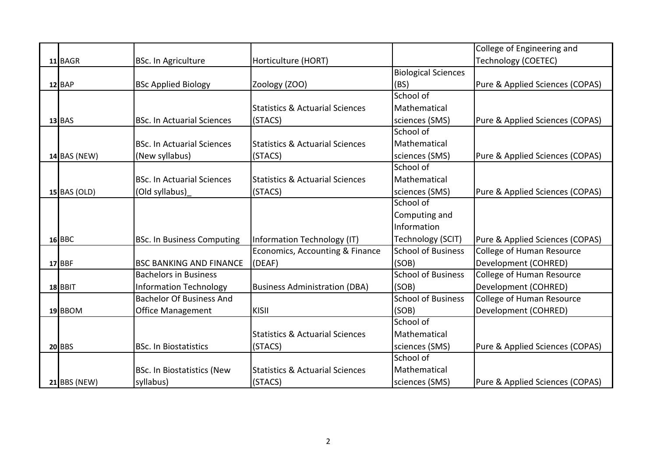|                     |                                   |                                            |                            | College of Engineering and       |
|---------------------|-----------------------------------|--------------------------------------------|----------------------------|----------------------------------|
| 11 BAGR             | <b>BSc. In Agriculture</b>        | Horticulture (HORT)                        |                            | Technology (COETEC)              |
|                     |                                   |                                            | <b>Biological Sciences</b> |                                  |
| $12$ $BAP$          | <b>BSc Applied Biology</b>        | Zoology (ZOO)                              | (BS)                       | Pure & Applied Sciences (COPAS)  |
|                     |                                   |                                            | School of                  |                                  |
|                     |                                   | <b>Statistics &amp; Actuarial Sciences</b> | Mathematical               |                                  |
| $13$ BAS            | <b>BSc. In Actuarial Sciences</b> | (STACS)                                    | sciences (SMS)             | Pure & Applied Sciences (COPAS)  |
|                     |                                   |                                            | School of                  |                                  |
|                     | <b>BSc. In Actuarial Sciences</b> | <b>Statistics &amp; Actuarial Sciences</b> | Mathematical               |                                  |
| $14$ BAS (NEW)      | (New syllabus)                    | (STACS)                                    | sciences (SMS)             | Pure & Applied Sciences (COPAS)  |
|                     |                                   |                                            | School of                  |                                  |
|                     | <b>BSc. In Actuarial Sciences</b> | <b>Statistics &amp; Actuarial Sciences</b> | Mathematical               |                                  |
| <b>15 BAS (OLD)</b> | (Old syllabus)                    | (STACS)                                    | sciences (SMS)             | Pure & Applied Sciences (COPAS)  |
|                     |                                   |                                            | School of                  |                                  |
|                     |                                   |                                            | Computing and              |                                  |
|                     |                                   |                                            | Information                |                                  |
| <b>16 BBC</b>       | <b>BSc. In Business Computing</b> | Information Technology (IT)                | Technology (SCIT)          | Pure & Applied Sciences (COPAS)  |
|                     |                                   | Economics, Accounting & Finance            | <b>School of Business</b>  | College of Human Resource        |
| 17 BBF              | <b>BSC BANKING AND FINANCE</b>    | (DEAF)                                     | (SOB)                      | Development (COHRED)             |
|                     | <b>Bachelors in Business</b>      |                                            | <b>School of Business</b>  | <b>College of Human Resource</b> |
| 18 BBIT             | <b>Information Technology</b>     | <b>Business Administration (DBA)</b>       | (SOB)                      | Development (COHRED)             |
|                     | <b>Bachelor Of Business And</b>   |                                            | <b>School of Business</b>  | College of Human Resource        |
| 19 BBOM             | <b>Office Management</b>          | <b>KISII</b>                               | (SOB)                      | Development (COHRED)             |
|                     |                                   |                                            | School of                  |                                  |
|                     |                                   | <b>Statistics &amp; Actuarial Sciences</b> | Mathematical               |                                  |
| <b>20 BBS</b>       | <b>BSc. In Biostatistics</b>      | (STACS)                                    | sciences (SMS)             | Pure & Applied Sciences (COPAS)  |
|                     |                                   |                                            | School of                  |                                  |
|                     | <b>BSc. In Biostatistics (New</b> | <b>Statistics &amp; Actuarial Sciences</b> | Mathematical               |                                  |
| <b>21 BBS (NEW)</b> | syllabus)                         | (STACS)                                    | sciences (SMS)             | Pure & Applied Sciences (COPAS)  |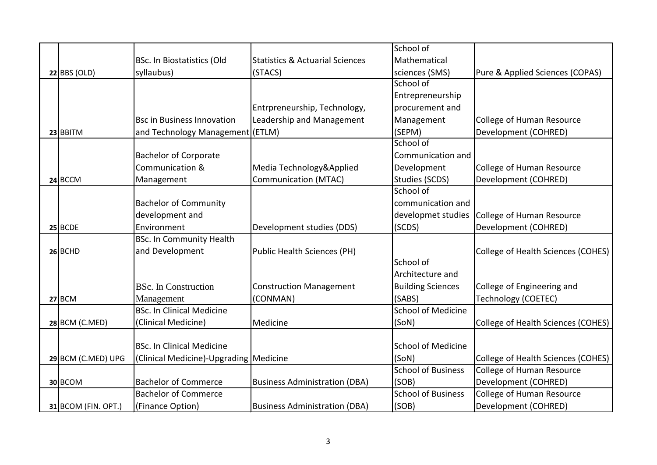|                            |                                        |                                            | School of                 |                                    |
|----------------------------|----------------------------------------|--------------------------------------------|---------------------------|------------------------------------|
|                            | <b>BSc. In Biostatistics (Old</b>      | <b>Statistics &amp; Actuarial Sciences</b> | Mathematical              |                                    |
| $22$ BBS (OLD)             | syllaubus)                             | (STACS)                                    | sciences (SMS)            | Pure & Applied Sciences (COPAS)    |
|                            |                                        |                                            | School of                 |                                    |
|                            |                                        |                                            | Entrepreneurship          |                                    |
|                            |                                        | Entrpreneurship, Technology,               | procurement and           |                                    |
|                            | <b>Bsc in Business Innovation</b>      | Leadership and Management                  | Management                | <b>College of Human Resource</b>   |
| 23 BBITM                   | and Technology Management (ETLM)       |                                            | (SEPM)                    | Development (COHRED)               |
|                            |                                        |                                            | School of                 |                                    |
|                            | <b>Bachelor of Corporate</b>           |                                            | Communication and         |                                    |
|                            | Communication &                        | Media Technology&Applied                   | Development               | College of Human Resource          |
| 24 BCCM                    | Management                             | <b>Communication (MTAC)</b>                | Studies (SCDS)            | Development (COHRED)               |
|                            |                                        |                                            | School of                 |                                    |
|                            | <b>Bachelor of Community</b>           |                                            | communication and         |                                    |
|                            | development and                        |                                            | developmet studies        | College of Human Resource          |
| 25 BCDE                    | Environment                            | Development studies (DDS)                  | (SCDS)                    | Development (COHRED)               |
|                            | <b>BSc. In Community Health</b>        |                                            |                           |                                    |
| 26 BCHD                    | and Development                        | Public Health Sciences (PH)                |                           | College of Health Sciences (COHES) |
|                            |                                        |                                            | School of                 |                                    |
|                            |                                        |                                            | Architecture and          |                                    |
|                            | <b>BSc.</b> In Construction            | <b>Construction Management</b>             | <b>Building Sciences</b>  | College of Engineering and         |
| 27 BCM                     | Management                             | (CONMAN)                                   | (SABS)                    | <b>Technology (COETEC)</b>         |
|                            | <b>BSc. In Clinical Medicine</b>       |                                            | <b>School of Medicine</b> |                                    |
| 28 BCM (C.MED)             | (Clinical Medicine)                    | Medicine                                   | (SoN)                     | College of Health Sciences (COHES) |
|                            |                                        |                                            |                           |                                    |
|                            | <b>BSc. In Clinical Medicine</b>       |                                            | <b>School of Medicine</b> |                                    |
| 29 BCM (C.MED) UPG         | (Clinical Medicine)-Upgrading Medicine |                                            | (SoN)                     | College of Health Sciences (COHES) |
|                            |                                        |                                            | <b>School of Business</b> | College of Human Resource          |
| 30 BCOM                    | <b>Bachelor of Commerce</b>            | <b>Business Administration (DBA)</b>       | (SOB)                     | Development (COHRED)               |
|                            | <b>Bachelor of Commerce</b>            |                                            | <b>School of Business</b> | College of Human Resource          |
| <b>31 BCOM (FIN. OPT.)</b> | (Finance Option)                       | <b>Business Administration (DBA)</b>       | (SOB)                     | Development (COHRED)               |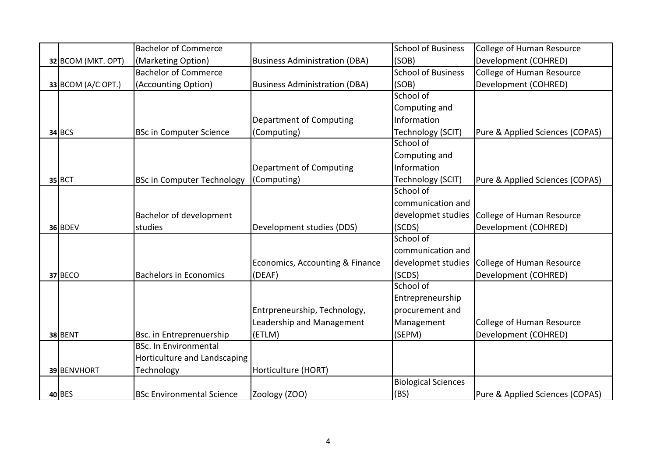|                    | <b>Bachelor of Commerce</b>       |                                      | <b>School of Business</b>  | College of Human Resource       |
|--------------------|-----------------------------------|--------------------------------------|----------------------------|---------------------------------|
| 32 BCOM (MKT. OPT) | (Marketing Option)                | <b>Business Administration (DBA)</b> | (SOB)                      | Development (COHRED)            |
|                    | <b>Bachelor of Commerce</b>       |                                      | <b>School of Business</b>  | College of Human Resource       |
|                    |                                   |                                      |                            |                                 |
| 33 BCOM (A/C OPT.) | (Accounting Option)               | <b>Business Administration (DBA)</b> | (SOB)<br>School of         | Development (COHRED)            |
|                    |                                   |                                      |                            |                                 |
|                    |                                   |                                      | Computing and              |                                 |
|                    |                                   | Department of Computing              | Information                |                                 |
| <b>34 BCS</b>      | <b>BSc in Computer Science</b>    | (Computing)                          | Technology (SCIT)          | Pure & Applied Sciences (COPAS) |
|                    |                                   |                                      | School of                  |                                 |
|                    |                                   |                                      | Computing and              |                                 |
|                    |                                   | Department of Computing              | Information                |                                 |
| 35 BCT             | <b>BSc in Computer Technology</b> | (Computing)                          | Technology (SCIT)          | Pure & Applied Sciences (COPAS) |
|                    |                                   |                                      | School of                  |                                 |
|                    |                                   |                                      | communication and          |                                 |
|                    | <b>Bachelor of development</b>    |                                      | developmet studies         | College of Human Resource       |
| 36 BDEV            | studies                           | Development studies (DDS)            | (SCDS)                     | Development (COHRED)            |
|                    |                                   |                                      | School of                  |                                 |
|                    |                                   |                                      | communication and          |                                 |
|                    |                                   | Economics, Accounting & Finance      | developmet studies         | College of Human Resource       |
| 37 BECO            | <b>Bachelors in Economics</b>     | (DEAF)                               | (SCDS)                     | Development (COHRED)            |
|                    |                                   |                                      | School of                  |                                 |
|                    |                                   |                                      | Entrepreneurship           |                                 |
|                    |                                   | Entrpreneurship, Technology,         | procurement and            |                                 |
|                    |                                   | Leadership and Management            | Management                 | College of Human Resource       |
| 38 BENT            | Bsc. in Entreprenuership          | (ETLM)                               | (SEPM)                     | Development (COHRED)            |
|                    | <b>BSc. In Environmental</b>      |                                      |                            |                                 |
|                    | Horticulture and Landscaping      |                                      |                            |                                 |
| 39 BENVHORT        | Technology                        | Horticulture (HORT)                  |                            |                                 |
|                    |                                   |                                      | <b>Biological Sciences</b> |                                 |
| 40 BES             | <b>BSc Environmental Science</b>  | Zoology (ZOO)                        | (BS)                       | Pure & Applied Sciences (COPAS) |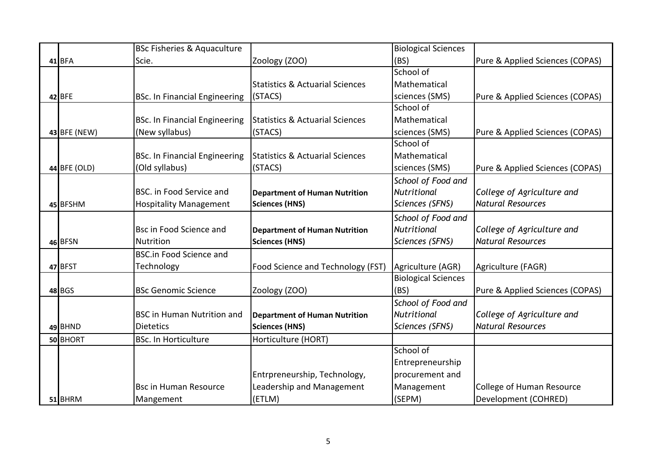|               | <b>BSc Fisheries &amp; Aquaculture</b> |                                            | <b>Biological Sciences</b> |                                  |
|---------------|----------------------------------------|--------------------------------------------|----------------------------|----------------------------------|
| 41 BFA        | Scie.                                  | Zoology (ZOO)                              | (BS)                       | Pure & Applied Sciences (COPAS)  |
|               |                                        |                                            | School of                  |                                  |
|               |                                        | <b>Statistics &amp; Actuarial Sciences</b> | Mathematical               |                                  |
| 42 BFE        | <b>BSc. In Financial Engineering</b>   | (STACS)                                    | sciences (SMS)             | Pure & Applied Sciences (COPAS)  |
|               |                                        |                                            | School of                  |                                  |
|               | <b>BSc. In Financial Engineering</b>   | <b>Statistics &amp; Actuarial Sciences</b> | Mathematical               |                                  |
| 43 BFE (NEW)  | (New syllabus)                         | (STACS)                                    | sciences (SMS)             | Pure & Applied Sciences (COPAS)  |
|               |                                        |                                            | School of                  |                                  |
|               | <b>BSc. In Financial Engineering</b>   | <b>Statistics &amp; Actuarial Sciences</b> | Mathematical               |                                  |
| 44 BFE (OLD)  | (Old syllabus)                         | (STACS)                                    | sciences (SMS)             | Pure & Applied Sciences (COPAS)  |
|               |                                        |                                            | School of Food and         |                                  |
|               | <b>BSC.</b> in Food Service and        | <b>Department of Human Nutrition</b>       | Nutritional                | College of Agriculture and       |
| 45 BFSHM      | <b>Hospitality Management</b>          | <b>Sciences (HNS)</b>                      | Sciences (SFNS)            | <b>Natural Resources</b>         |
|               |                                        |                                            | School of Food and         |                                  |
|               | Bsc in Food Science and                | <b>Department of Human Nutrition</b>       | Nutritional                | College of Agriculture and       |
| 46 BFSN       | Nutrition                              | <b>Sciences (HNS)</b>                      | Sciences (SFNS)            | <b>Natural Resources</b>         |
|               | <b>BSC.in Food Science and</b>         |                                            |                            |                                  |
| 47 BFST       | Technology                             | Food Science and Technology (FST)          | Agriculture (AGR)          | Agriculture (FAGR)               |
|               |                                        |                                            | <b>Biological Sciences</b> |                                  |
| <b>48 BGS</b> | <b>BSc Genomic Science</b>             | Zoology (ZOO)                              | (BS)                       | Pure & Applied Sciences (COPAS)  |
|               |                                        |                                            | School of Food and         |                                  |
|               | <b>BSC in Human Nutrition and</b>      | <b>Department of Human Nutrition</b>       | Nutritional                | College of Agriculture and       |
| 49 BHND       | <b>Dietetics</b>                       | <b>Sciences (HNS)</b>                      | Sciences (SFNS)            | <b>Natural Resources</b>         |
| 50 BHORT      | <b>BSc. In Horticulture</b>            | Horticulture (HORT)                        |                            |                                  |
|               |                                        |                                            | School of                  |                                  |
|               |                                        |                                            | Entrepreneurship           |                                  |
|               |                                        | Entrpreneurship, Technology,               | procurement and            |                                  |
|               | <b>Bsc in Human Resource</b>           | Leadership and Management                  | Management                 | <b>College of Human Resource</b> |
| 51 BHRM       | Mangement                              | (ETLM)                                     | (SEPM)                     | Development (COHRED)             |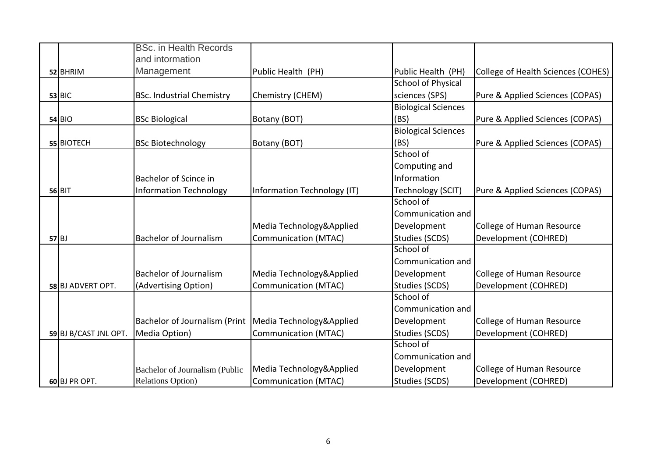|                       | <b>BSc.</b> in Health Records                            |                             |                            |                                    |
|-----------------------|----------------------------------------------------------|-----------------------------|----------------------------|------------------------------------|
|                       | and intormation                                          |                             |                            |                                    |
| 52 BHRIM              | Management                                               | Public Health (PH)          | Public Health (PH)         | College of Health Sciences (COHES) |
|                       |                                                          |                             | <b>School of Physical</b>  |                                    |
| $53$ BIC              | <b>BSc. Industrial Chemistry</b>                         | Chemistry (CHEM)            | sciences (SPS)             | Pure & Applied Sciences (COPAS)    |
|                       |                                                          |                             | <b>Biological Sciences</b> |                                    |
| <b>54 BIO</b>         | <b>BSc Biological</b>                                    | Botany (BOT)                | (BS)                       | Pure & Applied Sciences (COPAS)    |
|                       |                                                          |                             | <b>Biological Sciences</b> |                                    |
| 55 BIOTECH            | <b>BSc Biotechnology</b>                                 | Botany (BOT)                | (BS)                       | Pure & Applied Sciences (COPAS)    |
|                       |                                                          |                             | School of                  |                                    |
|                       |                                                          |                             | Computing and              |                                    |
|                       | Bachelor of Scince in                                    |                             | Information                |                                    |
| <b>56 BIT</b>         | <b>Information Technology</b>                            | Information Technology (IT) | <b>Technology (SCIT)</b>   | Pure & Applied Sciences (COPAS)    |
|                       |                                                          |                             | School of                  |                                    |
|                       |                                                          |                             | Communication and          |                                    |
|                       |                                                          | Media Technology&Applied    | Development                | College of Human Resource          |
| $57$ BJ               | <b>Bachelor of Journalism</b>                            | <b>Communication (MTAC)</b> | <b>Studies (SCDS)</b>      | Development (COHRED)               |
|                       |                                                          |                             | School of                  |                                    |
|                       |                                                          |                             | Communication and          |                                    |
|                       | <b>Bachelor of Journalism</b>                            | Media Technology&Applied    | Development                | College of Human Resource          |
| 58 BJ ADVERT OPT.     | (Advertising Option)                                     | <b>Communication (MTAC)</b> | <b>Studies (SCDS)</b>      | Development (COHRED)               |
|                       |                                                          |                             | School of                  |                                    |
|                       |                                                          |                             | Communication and          |                                    |
|                       | Bachelor of Journalism (Print   Media Technology&Applied |                             | Development                | College of Human Resource          |
| 59 BJ B/CAST JNL OPT. | Media Option)                                            | <b>Communication (MTAC)</b> | <b>Studies (SCDS)</b>      | Development (COHRED)               |
|                       |                                                          |                             | School of                  |                                    |
|                       |                                                          |                             | Communication and          |                                    |
|                       | Bachelor of Journalism (Public                           | Media Technology&Applied    | Development                | College of Human Resource          |
| 60 BJ PR OPT.         | <b>Relations Option</b> )                                | <b>Communication (MTAC)</b> | <b>Studies (SCDS)</b>      | Development (COHRED)               |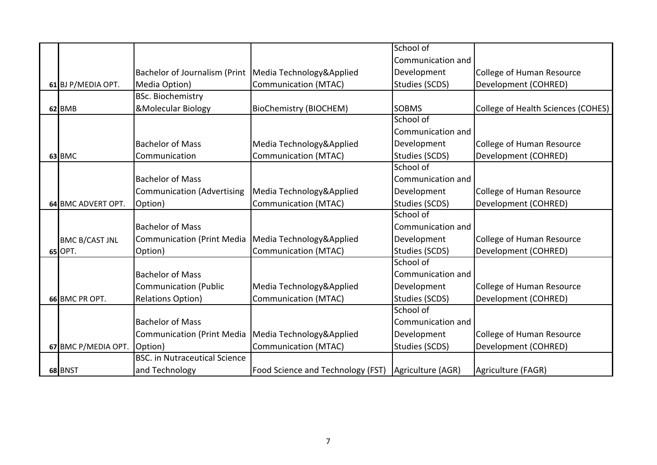|                       |                                      |                                                       | School of             |                                    |
|-----------------------|--------------------------------------|-------------------------------------------------------|-----------------------|------------------------------------|
|                       |                                      |                                                       | Communication and     |                                    |
|                       | <b>Bachelor of Journalism (Print</b> | Media Technology&Applied                              | Development           | College of Human Resource          |
| 61 BJ P/MEDIA OPT.    | Media Option)                        | <b>Communication (MTAC)</b>                           | <b>Studies (SCDS)</b> | Development (COHRED)               |
|                       | <b>BSc. Biochemistry</b>             |                                                       |                       |                                    |
| 62 BMB                | <b>&amp;Molecular Biology</b>        | <b>BioChemistry (BIOCHEM)</b>                         | <b>SOBMS</b>          | College of Health Sciences (COHES) |
|                       |                                      |                                                       | School of             |                                    |
|                       |                                      |                                                       | Communication and     |                                    |
|                       | <b>Bachelor of Mass</b>              | Media Technology&Applied                              | Development           | College of Human Resource          |
| <b>63 BMC</b>         | Communication                        | <b>Communication (MTAC)</b>                           | <b>Studies (SCDS)</b> | Development (COHRED)               |
|                       |                                      |                                                       | School of             |                                    |
|                       | <b>Bachelor of Mass</b>              |                                                       | Communication and     |                                    |
|                       | <b>Communication (Advertising</b>    | Media Technology&Applied                              | Development           | College of Human Resource          |
| 64 BMC ADVERT OPT.    | Option)                              | <b>Communication (MTAC)</b>                           | Studies (SCDS)        | Development (COHRED)               |
|                       |                                      |                                                       | School of             |                                    |
|                       | <b>Bachelor of Mass</b>              |                                                       | Communication and     |                                    |
| <b>BMC B/CAST JNL</b> | <b>Communication (Print Media</b>    | Media Technology&Applied                              | Development           | College of Human Resource          |
| 65 OPT.               | Option)                              | <b>Communication (MTAC)</b>                           | <b>Studies (SCDS)</b> | Development (COHRED)               |
|                       |                                      |                                                       | School of             |                                    |
|                       | <b>Bachelor of Mass</b>              |                                                       | Communication and     |                                    |
|                       | <b>Communication (Public</b>         | Media Technology&Applied                              | Development           | College of Human Resource          |
| 66 BMC PR OPT.        | <b>Relations Option)</b>             | <b>Communication (MTAC)</b>                           | Studies (SCDS)        | Development (COHRED)               |
|                       |                                      |                                                       | School of             |                                    |
|                       | <b>Bachelor of Mass</b>              |                                                       | Communication and     |                                    |
|                       | Communication (Print Media           | Media Technology&Applied                              | Development           | College of Human Resource          |
| 67 BMC P/MEDIA OPT.   | Option)                              | <b>Communication (MTAC)</b>                           | Studies (SCDS)        | Development (COHRED)               |
|                       | <b>BSC.</b> in Nutraceutical Science |                                                       |                       |                                    |
| 68 BNST               | and Technology                       | Food Science and Technology (FST)   Agriculture (AGR) |                       | Agriculture (FAGR)                 |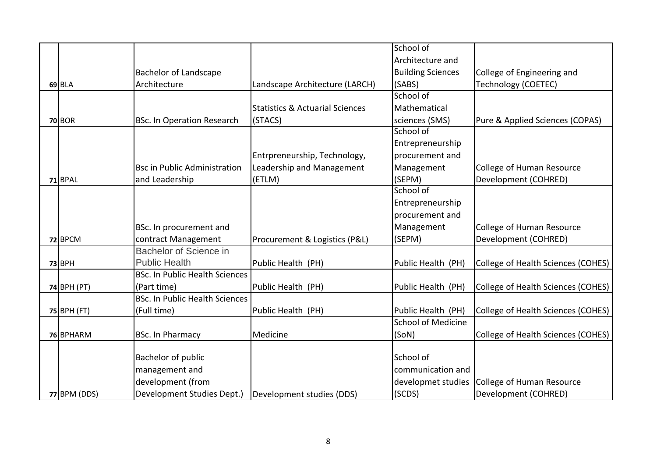|                    |                                       |                                            | School of                 |                                    |
|--------------------|---------------------------------------|--------------------------------------------|---------------------------|------------------------------------|
|                    |                                       |                                            | Architecture and          |                                    |
|                    | <b>Bachelor of Landscape</b>          |                                            | <b>Building Sciences</b>  | College of Engineering and         |
| 69 BLA             | Architecture                          | Landscape Architecture (LARCH)             | (SABS)                    | <b>Technology (COETEC)</b>         |
|                    |                                       |                                            | School of                 |                                    |
|                    |                                       | <b>Statistics &amp; Actuarial Sciences</b> | Mathematical              |                                    |
| <b>70 BOR</b>      | <b>BSc. In Operation Research</b>     | (STACS)                                    | sciences (SMS)            | Pure & Applied Sciences (COPAS)    |
|                    |                                       |                                            | School of                 |                                    |
|                    |                                       |                                            | Entrepreneurship          |                                    |
|                    |                                       | Entrpreneurship, Technology,               | procurement and           |                                    |
|                    | <b>Bsc in Public Administration</b>   | Leadership and Management                  | Management                | College of Human Resource          |
| 71 BPAL            | and Leadership                        | (ETLM)                                     | (SEPM)                    | Development (COHRED)               |
|                    |                                       |                                            | School of                 |                                    |
|                    |                                       |                                            | Entrepreneurship          |                                    |
|                    |                                       |                                            | procurement and           |                                    |
|                    | BSc. In procurement and               |                                            | Management                | <b>College of Human Resource</b>   |
| 72 BPCM            | contract Management                   | Procurement & Logistics (P&L)              | (SEPM)                    | Development (COHRED)               |
|                    | Bachelor of Science in                |                                            |                           |                                    |
| <b>73 BPH</b>      | <b>Public Health</b>                  | Public Health (PH)                         | Public Health (PH)        | College of Health Sciences (COHES) |
|                    | <b>BSc. In Public Health Sciences</b> |                                            |                           |                                    |
| <b>74 BPH (PT)</b> | (Part time)                           | Public Health (PH)                         | Public Health (PH)        | College of Health Sciences (COHES) |
|                    | <b>BSc. In Public Health Sciences</b> |                                            |                           |                                    |
| 75 BPH (FT)        | (Full time)                           | Public Health (PH)                         | Public Health (PH)        | College of Health Sciences (COHES) |
|                    |                                       |                                            | <b>School of Medicine</b> |                                    |
| 76 BPHARM          | <b>BSc. In Pharmacy</b>               | Medicine                                   | (SoN)                     | College of Health Sciences (COHES) |
|                    |                                       |                                            |                           |                                    |
|                    | <b>Bachelor of public</b>             |                                            | School of                 |                                    |
|                    | management and                        |                                            | communication and         |                                    |
|                    | development (from                     |                                            | developmet studies        | College of Human Resource          |
| 77 BPM (DDS)       | Development Studies Dept.)            | Development studies (DDS)                  | (SCDS)                    | Development (COHRED)               |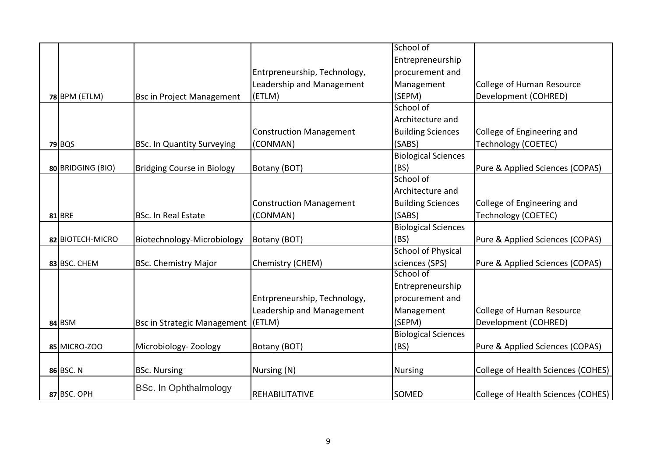|                   |                                    |                                | School of                  |                                    |
|-------------------|------------------------------------|--------------------------------|----------------------------|------------------------------------|
|                   |                                    |                                | Entrepreneurship           |                                    |
|                   |                                    | Entrpreneurship, Technology,   | procurement and            |                                    |
|                   |                                    | Leadership and Management      | Management                 | <b>College of Human Resource</b>   |
| 78 BPM (ETLM)     | <b>Bsc in Project Management</b>   | (ETLM)                         | (SEPM)                     | Development (COHRED)               |
|                   |                                    |                                | School of                  |                                    |
|                   |                                    |                                | Architecture and           |                                    |
|                   |                                    | <b>Construction Management</b> | <b>Building Sciences</b>   | College of Engineering and         |
|                   |                                    |                                |                            |                                    |
| <b>79 BQS</b>     | <b>BSc. In Quantity Surveying</b>  | (CONMAN)                       | (SABS)                     | <b>Technology (COETEC)</b>         |
|                   |                                    |                                | <b>Biological Sciences</b> |                                    |
| 80 BRIDGING (BIO) | Bridging Course in Biology         | Botany (BOT)                   | (BS)                       | Pure & Applied Sciences (COPAS)    |
|                   |                                    |                                | School of                  |                                    |
|                   |                                    |                                | Architecture and           |                                    |
|                   |                                    | <b>Construction Management</b> | <b>Building Sciences</b>   | College of Engineering and         |
| <b>81 BRE</b>     | <b>BSc. In Real Estate</b>         | (CONMAN)                       | (SABS)                     | <b>Technology (COETEC)</b>         |
|                   |                                    |                                | <b>Biological Sciences</b> |                                    |
| 82 BIOTECH-MICRO  | Biotechnology-Microbiology         | Botany (BOT)                   | (BS)                       | Pure & Applied Sciences (COPAS)    |
|                   |                                    |                                | <b>School of Physical</b>  |                                    |
| 83 BSC. CHEM      | <b>BSc. Chemistry Major</b>        | Chemistry (CHEM)               | sciences (SPS)             | Pure & Applied Sciences (COPAS)    |
|                   |                                    |                                | School of                  |                                    |
|                   |                                    |                                | Entrepreneurship           |                                    |
|                   |                                    | Entrpreneurship, Technology,   | procurement and            |                                    |
|                   |                                    | Leadership and Management      | Management                 | <b>College of Human Resource</b>   |
| 84 BSM            | <b>Bsc in Strategic Management</b> | (ETLM)                         | (SEPM)                     | Development (COHRED)               |
|                   |                                    |                                | <b>Biological Sciences</b> |                                    |
| 85 MICRO-ZOO      | Microbiology-Zoology               | Botany (BOT)                   | (BS)                       | Pure & Applied Sciences (COPAS)    |
|                   |                                    |                                |                            |                                    |
| 86 BSC. N         | <b>BSc. Nursing</b>                | Nursing (N)                    | <b>Nursing</b>             | College of Health Sciences (COHES) |
| 87 BSC. OPH       | <b>BSc. In Ophthalmology</b>       | <b>REHABILITATIVE</b>          | <b>SOMED</b>               | College of Health Sciences (COHES) |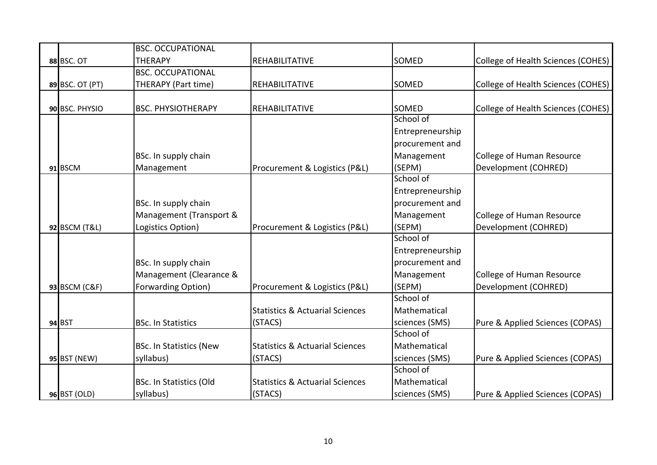|                   | <b>BSC. OCCUPATIONAL</b>       |                                            |                  |                                    |
|-------------------|--------------------------------|--------------------------------------------|------------------|------------------------------------|
| <b>88 BSC. OT</b> | <b>THERAPY</b>                 | REHABILITATIVE                             | <b>SOMED</b>     | College of Health Sciences (COHES) |
|                   | <b>BSC. OCCUPATIONAL</b>       |                                            |                  |                                    |
| 89 BSC. OT (PT)   | THERAPY (Part time)            | REHABILITATIVE                             | <b>SOMED</b>     | College of Health Sciences (COHES) |
|                   |                                |                                            |                  |                                    |
| 90 BSC. PHYSIO    | <b>BSC. PHYSIOTHERAPY</b>      | REHABILITATIVE                             | SOMED            | College of Health Sciences (COHES) |
|                   |                                |                                            | School of        |                                    |
|                   |                                |                                            | Entrepreneurship |                                    |
|                   |                                |                                            | procurement and  |                                    |
|                   | BSc. In supply chain           |                                            | Management       | College of Human Resource          |
| 91 BSCM           | Management                     | Procurement & Logistics (P&L)              | (SEPM)           | Development (COHRED)               |
|                   |                                |                                            | School of        |                                    |
|                   |                                |                                            | Entrepreneurship |                                    |
|                   | BSc. In supply chain           |                                            | procurement and  |                                    |
|                   | Management (Transport &        |                                            | Management       | <b>College of Human Resource</b>   |
| 92 BSCM (T&L)     | Logistics Option)              | Procurement & Logistics (P&L)              | (SEPM)           | Development (COHRED)               |
|                   |                                |                                            | School of        |                                    |
|                   |                                |                                            | Entrepreneurship |                                    |
|                   | BSc. In supply chain           |                                            | procurement and  |                                    |
|                   | Management (Clearance &        |                                            | Management       | <b>College of Human Resource</b>   |
| 93 BSCM (C&F)     | Forwarding Option)             | Procurement & Logistics (P&L)              | (SEPM)           | Development (COHRED)               |
|                   |                                |                                            | School of        |                                    |
|                   |                                | <b>Statistics &amp; Actuarial Sciences</b> | Mathematical     |                                    |
| 94 BST            | <b>BSc. In Statistics</b>      | (STACS)                                    | sciences (SMS)   | Pure & Applied Sciences (COPAS)    |
|                   |                                |                                            | School of        |                                    |
|                   | <b>BSc. In Statistics (New</b> | <b>Statistics &amp; Actuarial Sciences</b> | Mathematical     |                                    |
| 95 BST (NEW)      | syllabus)                      | (STACS)                                    | sciences (SMS)   | Pure & Applied Sciences (COPAS)    |
|                   |                                |                                            | School of        |                                    |
|                   | <b>BSc. In Statistics (Old</b> | <b>Statistics &amp; Actuarial Sciences</b> | Mathematical     |                                    |
| 96 BST (OLD)      | syllabus)                      | (STACS)                                    | sciences (SMS)   | Pure & Applied Sciences (COPAS)    |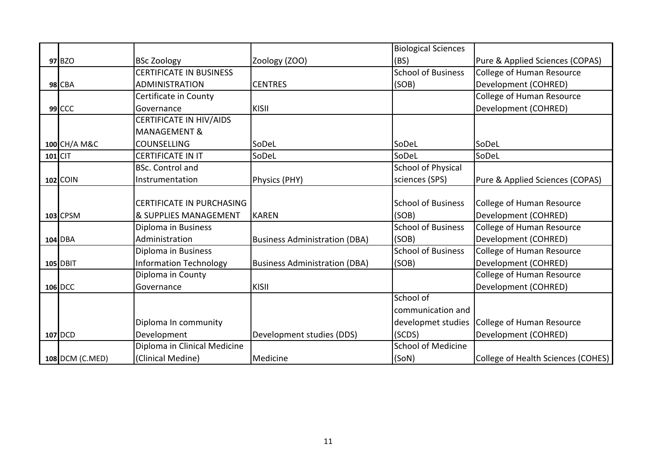|                 |                               |                                      | <b>Biological Sciences</b> |                                    |
|-----------------|-------------------------------|--------------------------------------|----------------------------|------------------------------------|
| 97 BZO          | <b>BSc Zoology</b>            | Zoology (ZOO)                        | (BS)                       | Pure & Applied Sciences (COPAS)    |
|                 | CERTIFICATE IN BUSINESS       |                                      | <b>School of Business</b>  | College of Human Resource          |
| <b>98 CBA</b>   | <b>ADMINISTRATION</b>         | <b>CENTRES</b>                       | (SOB)                      | Development (COHRED)               |
|                 | Certificate in County         |                                      |                            | College of Human Resource          |
| $99$ CCC        | Governance                    | KISII                                |                            | Development (COHRED)               |
|                 | CERTIFICATE IN HIV/AIDS       |                                      |                            |                                    |
|                 | <b>MANAGEMENT &amp;</b>       |                                      |                            |                                    |
| 100 CH/A M&C    | COUNSELLING                   | SoDeL                                | SoDeL                      | SoDeL                              |
| $101$ CIT       | CERTIFICATE IN IT             | SoDeL                                | SoDeL                      | SoDeL                              |
|                 | <b>BSc. Control and</b>       |                                      | <b>School of Physical</b>  |                                    |
| 102 COIN        | Instrumentation               | Physics (PHY)                        | sciences (SPS)             | Pure & Applied Sciences (COPAS)    |
|                 |                               |                                      |                            |                                    |
|                 | CERTIFICATE IN PURCHASING     |                                      | <b>School of Business</b>  | College of Human Resource          |
| 103 CPSM        | & SUPPLIES MANAGEMENT         | KAREN                                | (SOB)                      | Development (COHRED)               |
|                 | Diploma in Business           |                                      | <b>School of Business</b>  | College of Human Resource          |
| 104 DBA         | Administration                | <b>Business Administration (DBA)</b> | (SOB)                      | Development (COHRED)               |
|                 | Diploma in Business           |                                      | <b>School of Business</b>  | <b>College of Human Resource</b>   |
| 105 DBIT        | <b>Information Technology</b> | <b>Business Administration (DBA)</b> | (SOB)                      | Development (COHRED)               |
|                 | Diploma in County             |                                      |                            | College of Human Resource          |
| 106 DCC         | Governance                    | KISII                                |                            | Development (COHRED)               |
|                 |                               |                                      | School of                  |                                    |
|                 |                               |                                      | communication and          |                                    |
|                 | Diploma In community          |                                      | developmet studies         | College of Human Resource          |
| 107 DCD         | Development                   | Development studies (DDS)            | (SCDS)                     | Development (COHRED)               |
|                 | Diploma in Clinical Medicine  |                                      | <b>School of Medicine</b>  |                                    |
| 108 DCM (C.MED) | (Clinical Medine)             | Medicine                             | (SoN)                      | College of Health Sciences (COHES) |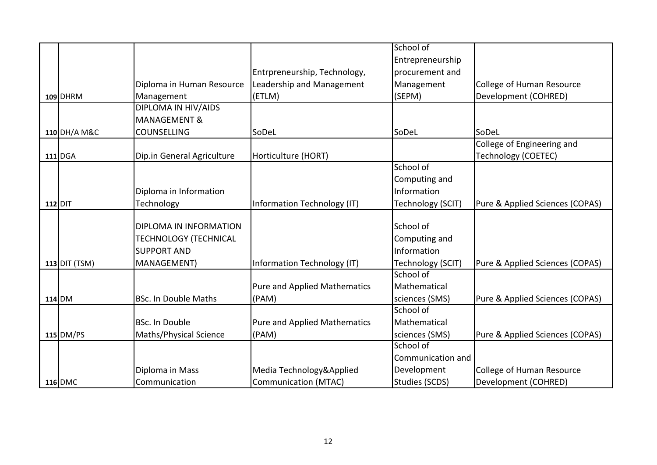|                      |                              |                                     | School of             |                                 |
|----------------------|------------------------------|-------------------------------------|-----------------------|---------------------------------|
|                      |                              |                                     | Entrepreneurship      |                                 |
|                      |                              | Entrpreneurship, Technology,        | procurement and       |                                 |
|                      | Diploma in Human Resource    | Leadership and Management           | Management            | College of Human Resource       |
| 109 DHRM             | Management                   | (ETLM)                              | (SEPM)                | Development (COHRED)            |
|                      | DIPLOMA IN HIV/AIDS          |                                     |                       |                                 |
|                      | <b>MANAGEMENT &amp;</b>      |                                     |                       |                                 |
| 110 DH/A M&C         | <b>COUNSELLING</b>           | SoDeL                               | SoDeL                 | SoDeL                           |
|                      |                              |                                     |                       | College of Engineering and      |
| 111 DGA              | Dip.in General Agriculture   | Horticulture (HORT)                 |                       | <b>Technology (COETEC)</b>      |
|                      |                              |                                     | School of             |                                 |
|                      |                              |                                     | Computing and         |                                 |
|                      | Diploma in Information       |                                     | Information           |                                 |
| 112 DIT              | Technology                   | Information Technology (IT)         | Technology (SCIT)     | Pure & Applied Sciences (COPAS) |
|                      |                              |                                     |                       |                                 |
|                      | DIPLOMA IN INFORMATION       |                                     | School of             |                                 |
|                      | <b>TECHNOLOGY (TECHNICAL</b> |                                     | Computing and         |                                 |
|                      | <b>SUPPORT AND</b>           |                                     | Information           |                                 |
| <b>113 DIT (TSM)</b> | MANAGEMENT)                  | Information Technology (IT)         | Technology (SCIT)     | Pure & Applied Sciences (COPAS) |
|                      |                              |                                     | School of             |                                 |
|                      |                              | <b>Pure and Applied Mathematics</b> | Mathematical          |                                 |
| 114 DM               | <b>BSc. In Double Maths</b>  | (PAM)                               | sciences (SMS)        | Pure & Applied Sciences (COPAS) |
|                      |                              |                                     | School of             |                                 |
|                      | BSc. In Double               | Pure and Applied Mathematics        | Mathematical          |                                 |
| 115 DM/PS            | Maths/Physical Science       | (PAM)                               | sciences (SMS)        | Pure & Applied Sciences (COPAS) |
|                      |                              |                                     | School of             |                                 |
|                      |                              |                                     | Communication and     |                                 |
|                      | Diploma in Mass              | Media Technology&Applied            | Development           | College of Human Resource       |
| <b>116 DMC</b>       | Communication                | <b>Communication (MTAC)</b>         | <b>Studies (SCDS)</b> | Development (COHRED)            |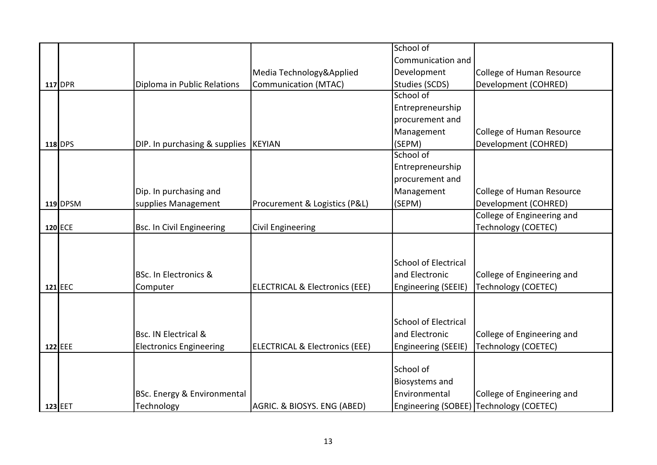|                |                                       |                                           | School of                   |                                         |
|----------------|---------------------------------------|-------------------------------------------|-----------------------------|-----------------------------------------|
|                |                                       |                                           | Communication and           |                                         |
|                |                                       | Media Technology&Applied                  | Development                 | College of Human Resource               |
| <b>117 DPR</b> | Diploma in Public Relations           | Communication (MTAC)                      | Studies (SCDS)              | Development (COHRED)                    |
|                |                                       |                                           | School of                   |                                         |
|                |                                       |                                           | Entrepreneurship            |                                         |
|                |                                       |                                           | procurement and             |                                         |
|                |                                       |                                           | Management                  | <b>College of Human Resource</b>        |
| 118 DPS        | DIP. In purchasing & supplies  KEYIAN |                                           | (SEPM)                      | Development (COHRED)                    |
|                |                                       |                                           | School of                   |                                         |
|                |                                       |                                           | Entrepreneurship            |                                         |
|                |                                       |                                           | procurement and             |                                         |
|                | Dip. In purchasing and                |                                           | Management                  | <b>College of Human Resource</b>        |
| 119 DPSM       | supplies Management                   | Procurement & Logistics (P&L)             | (SEPM)                      | Development (COHRED)                    |
|                |                                       |                                           |                             | College of Engineering and              |
| 120 ECE        | <b>Bsc. In Civil Engineering</b>      | <b>Civil Engineering</b>                  |                             | Technology (COETEC)                     |
|                |                                       |                                           |                             |                                         |
|                |                                       |                                           |                             |                                         |
|                |                                       |                                           | <b>School of Electrical</b> |                                         |
|                | BSc. In Electronics &                 |                                           | and Electronic              | College of Engineering and              |
| 121 EEC        | Computer                              | <b>ELECTRICAL &amp; Electronics (EEE)</b> | Engineering (SEEIE)         | <b>Technology (COETEC)</b>              |
|                |                                       |                                           |                             |                                         |
|                |                                       |                                           |                             |                                         |
|                |                                       |                                           | <b>School of Electrical</b> |                                         |
|                | Bsc. IN Electrical &                  |                                           | and Electronic              | College of Engineering and              |
| 122 EEE        | <b>Electronics Engineering</b>        | <b>ELECTRICAL &amp; Electronics (EEE)</b> | Engineering (SEEIE)         | <b>Technology (COETEC)</b>              |
|                |                                       |                                           |                             |                                         |
|                |                                       |                                           | School of                   |                                         |
|                |                                       |                                           | Biosystems and              |                                         |
|                | BSc. Energy & Environmental           |                                           | Environmental               | College of Engineering and              |
| 123 EET        | Technology                            | AGRIC. & BIOSYS. ENG (ABED)               |                             | Engineering (SOBEE) Technology (COETEC) |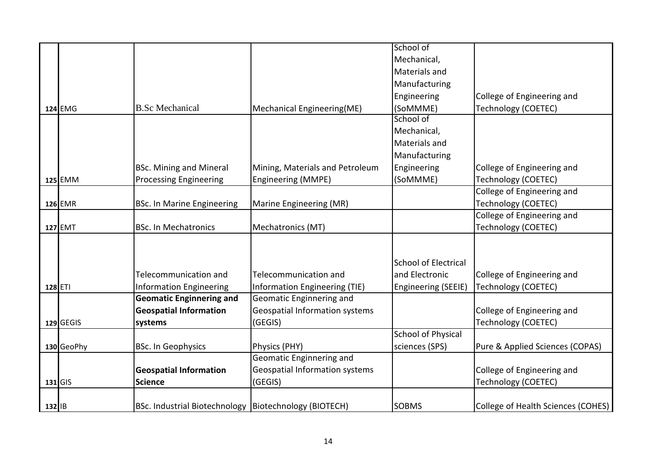|            |                                                         |                                 | School of                   |                                    |
|------------|---------------------------------------------------------|---------------------------------|-----------------------------|------------------------------------|
|            |                                                         |                                 | Mechanical,                 |                                    |
|            |                                                         |                                 | Materials and               |                                    |
|            |                                                         |                                 | Manufacturing               |                                    |
|            |                                                         |                                 | Engineering                 | College of Engineering and         |
| 124 EMG    | <b>B.Sc Mechanical</b>                                  | Mechanical Engineering(ME)      | (SoMMME)                    | <b>Technology (COETEC)</b>         |
|            |                                                         |                                 | School of                   |                                    |
|            |                                                         |                                 | Mechanical,                 |                                    |
|            |                                                         |                                 | Materials and               |                                    |
|            |                                                         |                                 | Manufacturing               |                                    |
|            | <b>BSc. Mining and Mineral</b>                          | Mining, Materials and Petroleum | Engineering                 | College of Engineering and         |
| 125 EMM    | <b>Processing Engineering</b>                           | Engineering (MMPE)              | (SoMMME)                    | <b>Technology (COETEC)</b>         |
|            |                                                         |                                 |                             | College of Engineering and         |
| 126 EMR    | <b>BSc. In Marine Engineering</b>                       | Marine Engineering (MR)         |                             | <b>Technology (COETEC)</b>         |
|            |                                                         |                                 |                             | College of Engineering and         |
| 127 EMT    | <b>BSc. In Mechatronics</b>                             | Mechatronics (MT)               |                             | <b>Technology (COETEC)</b>         |
|            |                                                         |                                 |                             |                                    |
|            |                                                         |                                 |                             |                                    |
|            |                                                         |                                 | <b>School of Electrical</b> |                                    |
|            | Telecommunication and                                   | Telecommunication and           | and Electronic              | College of Engineering and         |
| 128 ETI    | <b>Information Engineering</b>                          | Information Engineering (TIE)   | <b>Engineering (SEEIE)</b>  | <b>Technology (COETEC)</b>         |
|            | <b>Geomatic Enginnering and</b>                         | Geomatic Enginnering and        |                             |                                    |
|            | <b>Geospatial Information</b>                           | Geospatial Information systems  |                             | College of Engineering and         |
| 129 GEGIS  | systems                                                 | (GEGIS)                         |                             | Technology (COETEC)                |
|            |                                                         |                                 | <b>School of Physical</b>   |                                    |
| 130 GeoPhy | <b>BSc. In Geophysics</b>                               | Physics (PHY)                   | sciences (SPS)              | Pure & Applied Sciences (COPAS)    |
|            |                                                         | Geomatic Enginnering and        |                             |                                    |
|            | <b>Geospatial Information</b>                           | Geospatial Information systems  |                             | College of Engineering and         |
| $131$ GIS  | <b>Science</b>                                          | (GEGIS)                         |                             | <b>Technology (COETEC)</b>         |
|            |                                                         |                                 |                             |                                    |
| $132$   B  | BSc. Industrial Biotechnology   Biotechnology (BIOTECH) |                                 | <b>SOBMS</b>                | College of Health Sciences (COHES) |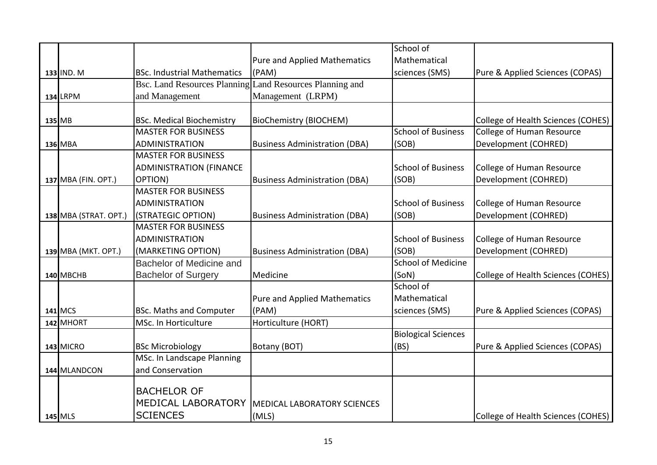|                       |                                                          |                                      | School of                  |                                    |
|-----------------------|----------------------------------------------------------|--------------------------------------|----------------------------|------------------------------------|
|                       |                                                          | Pure and Applied Mathematics         | Mathematical               |                                    |
| 133 IND. M            | <b>BSc. Industrial Mathematics</b>                       | (PAM)                                | sciences (SMS)             | Pure & Applied Sciences (COPAS)    |
|                       | Bsc. Land Resources Planning Land Resources Planning and |                                      |                            |                                    |
| <b>134 LRPM</b>       | and Management                                           | Management (LRPM)                    |                            |                                    |
|                       |                                                          |                                      |                            |                                    |
| 135 MB                | <b>BSc. Medical Biochemistry</b>                         | BioChemistry (BIOCHEM)               |                            | College of Health Sciences (COHES) |
|                       | <b>MASTER FOR BUSINESS</b>                               |                                      | <b>School of Business</b>  | <b>College of Human Resource</b>   |
| 136 MBA               | <b>ADMINISTRATION</b>                                    | <b>Business Administration (DBA)</b> | (SOB)                      | Development (COHRED)               |
|                       | <b>MASTER FOR BUSINESS</b>                               |                                      |                            |                                    |
|                       | <b>ADMINISTRATION (FINANCE</b>                           |                                      | <b>School of Business</b>  | College of Human Resource          |
| 137 MBA (FIN. OPT.)   | OPTION)                                                  | <b>Business Administration (DBA)</b> | (SOB)                      | Development (COHRED)               |
|                       | <b>MASTER FOR BUSINESS</b>                               |                                      |                            |                                    |
|                       | <b>ADMINISTRATION</b>                                    |                                      | <b>School of Business</b>  | College of Human Resource          |
| 138 MBA (STRAT. OPT.) | (STRATEGIC OPTION)                                       | <b>Business Administration (DBA)</b> | (SOB)                      | Development (COHRED)               |
|                       | <b>MASTER FOR BUSINESS</b>                               |                                      |                            |                                    |
|                       | <b>ADMINISTRATION</b>                                    |                                      | <b>School of Business</b>  | College of Human Resource          |
| 139 MBA (MKT. OPT.)   | (MARKETING OPTION)                                       | <b>Business Administration (DBA)</b> | (SOB)                      | Development (COHRED)               |
|                       | Bachelor of Medicine and                                 |                                      | <b>School of Medicine</b>  |                                    |
| 140 MBCHB             | <b>Bachelor of Surgery</b>                               | Medicine                             | (SoN)                      | College of Health Sciences (COHES) |
|                       |                                                          |                                      | School of                  |                                    |
|                       |                                                          | <b>Pure and Applied Mathematics</b>  | Mathematical               |                                    |
| 141 MCS               | <b>BSc. Maths and Computer</b>                           | (PAM)                                | sciences (SMS)             | Pure & Applied Sciences (COPAS)    |
| 142 MHORT             | MSc. In Horticulture                                     | Horticulture (HORT)                  |                            |                                    |
|                       |                                                          |                                      | <b>Biological Sciences</b> |                                    |
| 143 MICRO             | <b>BSc Microbiology</b>                                  | Botany (BOT)                         | (BS)                       | Pure & Applied Sciences (COPAS)    |
|                       | MSc. In Landscape Planning                               |                                      |                            |                                    |
| 144 MLANDCON          | and Conservation                                         |                                      |                            |                                    |
|                       |                                                          |                                      |                            |                                    |
|                       | <b>BACHELOR OF</b>                                       |                                      |                            |                                    |
|                       | MEDICAL LABORATORY                                       | <b>MEDICAL LABORATORY SCIENCES</b>   |                            |                                    |
| 145 MLS               | <b>SCIENCES</b>                                          | (MLS)                                |                            | College of Health Sciences (COHES) |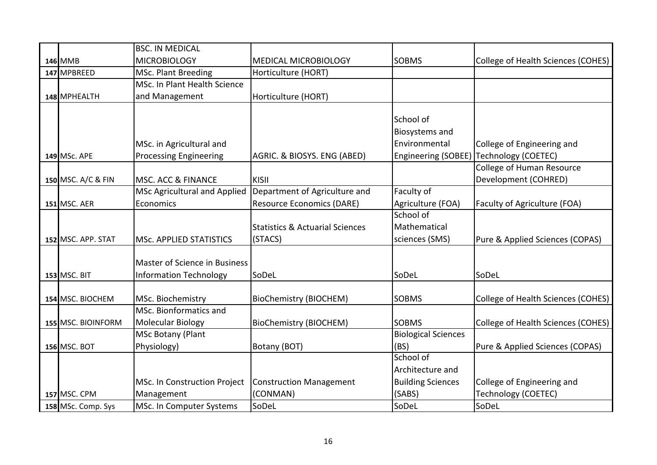|                     | <b>BSC. IN MEDICAL</b>         |                                            |                            |                                    |
|---------------------|--------------------------------|--------------------------------------------|----------------------------|------------------------------------|
| 146 MMB             | <b>MICROBIOLOGY</b>            | <b>MEDICAL MICROBIOLOGY</b>                | <b>SOBMS</b>               | College of Health Sciences (COHES) |
| 147 MPBREED         | MSc. Plant Breeding            | Horticulture (HORT)                        |                            |                                    |
|                     | MSc. In Plant Health Science   |                                            |                            |                                    |
| 148 MPHEALTH        | and Management                 | Horticulture (HORT)                        |                            |                                    |
|                     |                                |                                            |                            |                                    |
|                     |                                |                                            | School of                  |                                    |
|                     |                                |                                            | <b>Biosystems and</b>      |                                    |
|                     | MSc. in Agricultural and       |                                            | Environmental              | College of Engineering and         |
| 149 MSc. APE        | <b>Processing Engineering</b>  | AGRIC. & BIOSYS. ENG (ABED)                | Engineering (SOBEE)        | Technology (COETEC)                |
|                     |                                |                                            |                            | College of Human Resource          |
| 150 MSC. A/C & FIN  | <b>MSC. ACC &amp; FINANCE</b>  | KISII                                      |                            | Development (COHRED)               |
|                     | MSc Agricultural and Applied   | Department of Agriculture and              | Faculty of                 |                                    |
| <b>151 MSC. AER</b> | Economics                      | Resource Economics (DARE)                  | Agriculture (FOA)          | Faculty of Agriculture (FOA)       |
|                     |                                |                                            | School of                  |                                    |
|                     |                                | <b>Statistics &amp; Actuarial Sciences</b> | Mathematical               |                                    |
| 152 MSC. APP. STAT  | <b>MSc. APPLIED STATISTICS</b> | (STACS)                                    | sciences (SMS)             | Pure & Applied Sciences (COPAS)    |
|                     |                                |                                            |                            |                                    |
|                     | Master of Science in Business  |                                            |                            |                                    |
| <b>153 MSC. BIT</b> | <b>Information Technology</b>  | SoDeL                                      | SoDeL                      | SoDeL                              |
|                     |                                |                                            |                            |                                    |
| 154 MSC. BIOCHEM    | MSc. Biochemistry              | <b>BioChemistry (BIOCHEM)</b>              | <b>SOBMS</b>               | College of Health Sciences (COHES) |
|                     | MSc. Bionformatics and         |                                            |                            |                                    |
| 155 MSC. BIOINFORM  | Molecular Biology              | <b>BioChemistry (BIOCHEM)</b>              | <b>SOBMS</b>               | College of Health Sciences (COHES) |
|                     | MSc Botany (Plant              |                                            | <b>Biological Sciences</b> |                                    |
| <b>156 MSC. BOT</b> | Physiology)                    | Botany (BOT)                               | (BS)                       | Pure & Applied Sciences (COPAS)    |
|                     |                                |                                            | School of                  |                                    |
|                     |                                |                                            | Architecture and           |                                    |
|                     | MSc. In Construction Project   | <b>Construction Management</b>             | <b>Building Sciences</b>   | College of Engineering and         |
| <b>157 MSC. CPM</b> | Management                     | (CONMAN)                                   | (SABS)                     | <b>Technology (COETEC)</b>         |
| 158 MSc. Comp. Sys  | MSc. In Computer Systems       | SoDeL                                      | SoDeL                      | SoDeL                              |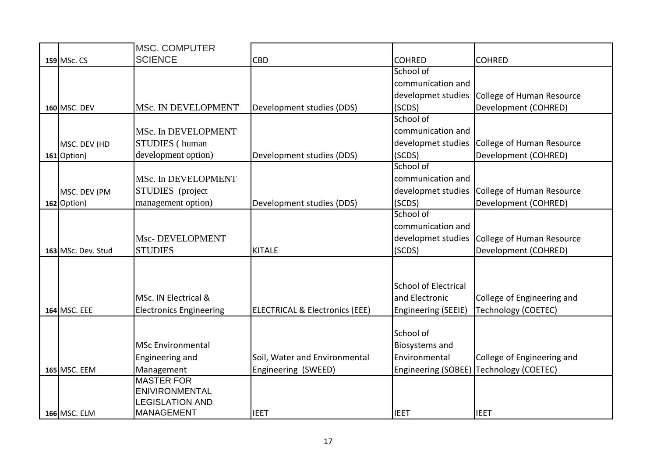|                     | <b>MSC. COMPUTER</b>                |                                           |                             |                            |
|---------------------|-------------------------------------|-------------------------------------------|-----------------------------|----------------------------|
| 159 MSc. CS         | <b>SCIENCE</b>                      | <b>CBD</b>                                | <b>COHRED</b>               | <b>COHRED</b>              |
|                     |                                     |                                           | School of                   |                            |
|                     |                                     |                                           | communication and           |                            |
|                     |                                     |                                           | developmet studies          | College of Human Resource  |
| <b>160 MSC. DEV</b> | MSc. IN DEVELOPMENT                 | Development studies (DDS)                 | (SCDS)                      | Development (COHRED)       |
|                     |                                     |                                           | School of                   |                            |
|                     | MSc. In DEVELOPMENT                 |                                           | communication and           |                            |
| MSC. DEV (HD        | <b>STUDIES</b> (human               |                                           | developmet studies          | College of Human Resource  |
| 161 Option)         | development option)                 | Development studies (DDS)                 | (SCDS)                      | Development (COHRED)       |
|                     |                                     |                                           | School of                   |                            |
|                     | MSc. In DEVELOPMENT                 |                                           | communication and           |                            |
| MSC. DEV (PM        | STUDIES (project                    |                                           | developmet studies          | College of Human Resource  |
| 162 Option)         | management option)                  | Development studies (DDS)                 | (SCDS)                      | Development (COHRED)       |
|                     |                                     |                                           | School of                   |                            |
|                     |                                     |                                           | communication and           |                            |
|                     | Msc-DEVELOPMENT                     |                                           | developmet studies          | College of Human Resource  |
| 163 MSc. Dev. Stud  | <b>STUDIES</b>                      | <b>KITALE</b>                             | (SCDS)                      | Development (COHRED)       |
|                     |                                     |                                           |                             |                            |
|                     |                                     |                                           |                             |                            |
|                     |                                     |                                           | <b>School of Electrical</b> |                            |
|                     | MSc. IN Electrical &                |                                           | and Electronic              | College of Engineering and |
| 164 MSC. EEE        | <b>Electronics Engineering</b>      | <b>ELECTRICAL &amp; Electronics (EEE)</b> | Engineering (SEEIE)         | Technology (COETEC)        |
|                     |                                     |                                           |                             |                            |
|                     |                                     |                                           | School of                   |                            |
|                     | <b>MSc Environmental</b>            |                                           | Biosystems and              |                            |
|                     | Engineering and                     | Soil, Water and Environmental             | Environmental               | College of Engineering and |
| <b>165 MSC. EEM</b> | Management                          | Engineering (SWEED)                       | Engineering (SOBEE)         | Technology (COETEC)        |
|                     | <b>MASTER FOR</b><br>ENIVIRONMENTAL |                                           |                             |                            |
|                     | <b>LEGISLATION AND</b>              |                                           |                             |                            |
| <b>166 MSC. ELM</b> | <b>MANAGEMENT</b>                   | <b>IEET</b>                               | <b>IEET</b>                 | <b>IEET</b>                |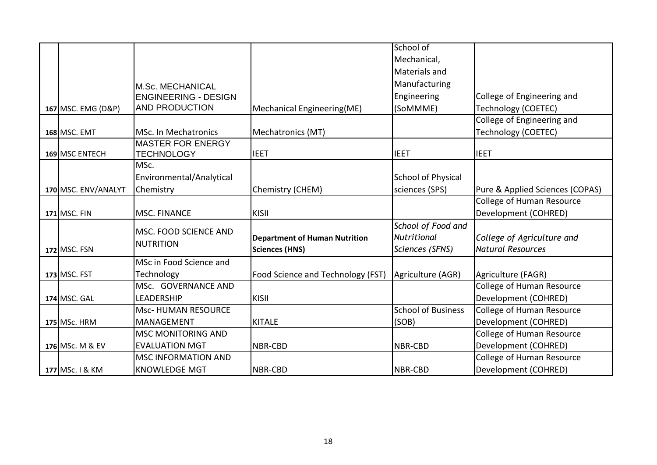|                     |                                                      |                                      | School of                 |                                  |
|---------------------|------------------------------------------------------|--------------------------------------|---------------------------|----------------------------------|
|                     |                                                      |                                      | Mechanical,               |                                  |
|                     |                                                      |                                      | Materials and             |                                  |
|                     |                                                      |                                      | Manufacturing             |                                  |
|                     | <b>M.Sc. MECHANICAL</b>                              |                                      | Engineering               | College of Engineering and       |
|                     | <b>ENGINEERING - DESIGN</b><br><b>AND PRODUCTION</b> |                                      |                           |                                  |
| 167 MSC. EMG (D&P)  |                                                      | Mechanical Engineering(ME)           | (SoMMME)                  | Technology (COETEC)              |
|                     |                                                      |                                      |                           | College of Engineering and       |
| <b>168 MSC. EMT</b> | <b>MSc. In Mechatronics</b>                          | Mechatronics (MT)                    |                           | Technology (COETEC)              |
|                     | <b>MASTER FOR ENERGY</b>                             |                                      |                           |                                  |
| 169 MSC ENTECH      | <b>TECHNOLOGY</b>                                    | <b>IEET</b>                          | <b>IEET</b>               | <b>IEET</b>                      |
|                     | MSc.                                                 |                                      |                           |                                  |
|                     | Environmental/Analytical                             |                                      | <b>School of Physical</b> |                                  |
| 170 MSC. ENV/ANALYT | Chemistry                                            | Chemistry (CHEM)                     | sciences (SPS)            | Pure & Applied Sciences (COPAS)  |
|                     |                                                      |                                      |                           | College of Human Resource        |
| <b>171 MSC. FIN</b> | <b>MSC. FINANCE</b>                                  | KISII                                |                           | Development (COHRED)             |
|                     |                                                      |                                      | School of Food and        |                                  |
|                     | <b>MSC. FOOD SCIENCE AND</b>                         | <b>Department of Human Nutrition</b> | <b>Nutritional</b>        | College of Agriculture and       |
| 172 MSC. FSN        | <b>NUTRITION</b>                                     | <b>Sciences (HNS)</b>                | Sciences (SFNS)           | <b>Natural Resources</b>         |
|                     | MSc in Food Science and                              |                                      |                           |                                  |
| <b>173 MSC. FST</b> | Technology                                           | Food Science and Technology (FST)    | Agriculture (AGR)         | Agriculture (FAGR)               |
|                     | MSc. GOVERNANCE AND                                  |                                      |                           | <b>College of Human Resource</b> |
| 174 MSC. GAL        | LEADERSHIP                                           | KISII                                |                           | Development (COHRED)             |
|                     | Msc-HUMAN RESOURCE                                   |                                      | <b>School of Business</b> | <b>College of Human Resource</b> |
| <b>175 MSc. HRM</b> | <b>MANAGEMENT</b>                                    | <b>KITALE</b>                        | (SOB)                     | Development (COHRED)             |
|                     | <b>MSC MONITORING AND</b>                            |                                      |                           | College of Human Resource        |
| 176 MSc. M & EV     | <b>EVALUATION MGT</b>                                | <b>NBR-CBD</b>                       | NBR-CBD                   | Development (COHRED)             |
|                     | <b>MSC INFORMATION AND</b>                           |                                      |                           | <b>College of Human Resource</b> |
| 177 MSc. I & KM     | <b>KNOWLEDGE MGT</b>                                 | NBR-CBD                              | NBR-CBD                   | Development (COHRED)             |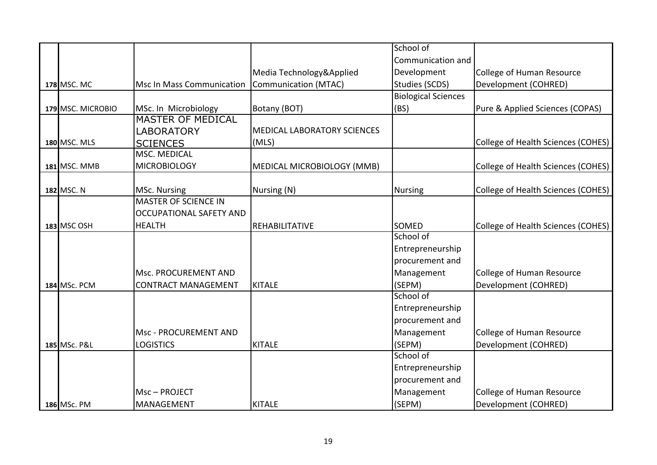|                     |                                  |                                    | School of                  |                                    |
|---------------------|----------------------------------|------------------------------------|----------------------------|------------------------------------|
|                     |                                  |                                    | Communication and          |                                    |
|                     |                                  | Media Technology&Applied           | Development                | College of Human Resource          |
| <b>178 MSC. MC</b>  | <b>Msc In Mass Communication</b> | Communication (MTAC)               | Studies (SCDS)             | Development (COHRED)               |
|                     |                                  |                                    | <b>Biological Sciences</b> |                                    |
| 179 MSC. MICROBIO   | MSc. In Microbiology             | Botany (BOT)                       | (BS)                       | Pure & Applied Sciences (COPAS)    |
|                     | <b>MASTER OF MEDICAL</b>         |                                    |                            |                                    |
|                     | <b>LABORATORY</b>                | <b>MEDICAL LABORATORY SCIENCES</b> |                            |                                    |
| <b>180 MSC. MLS</b> | <b>SCIENCES</b>                  | (MLS)                              |                            | College of Health Sciences (COHES) |
|                     | <b>MSC. MEDICAL</b>              |                                    |                            |                                    |
| <b>181 MSC. MMB</b> | <b>MICROBIOLOGY</b>              | MEDICAL MICROBIOLOGY (MMB)         |                            | College of Health Sciences (COHES) |
|                     |                                  |                                    |                            |                                    |
| 182 MSC. N          | MSc. Nursing                     | Nursing (N)                        | <b>Nursing</b>             | College of Health Sciences (COHES) |
|                     | <b>MASTER OF SCIENCE IN</b>      |                                    |                            |                                    |
|                     | <b>OCCUPATIONAL SAFETY AND</b>   |                                    |                            |                                    |
| 183 MSC OSH         | <b>HEALTH</b>                    | <b>REHABILITATIVE</b>              | <b>SOMED</b>               | College of Health Sciences (COHES) |
|                     |                                  |                                    | School of                  |                                    |
|                     |                                  |                                    | Entrepreneurship           |                                    |
|                     |                                  |                                    | procurement and            |                                    |
|                     | <b>Msc. PROCUREMENT AND</b>      |                                    | Management                 | <b>College of Human Resource</b>   |
| 184 MSc. PCM        | <b>CONTRACT MANAGEMENT</b>       | KITALE                             | (SEPM)                     | Development (COHRED)               |
|                     |                                  |                                    | School of                  |                                    |
|                     |                                  |                                    | Entrepreneurship           |                                    |
|                     |                                  |                                    | procurement and            |                                    |
|                     | Msc - PROCUREMENT AND            |                                    | Management                 | <b>College of Human Resource</b>   |
| 185 MSc. P&L        | <b>LOGISTICS</b>                 | KITALE                             | (SEPM)                     | Development (COHRED)               |
|                     |                                  |                                    | School of                  |                                    |
|                     |                                  |                                    | Entrepreneurship           |                                    |
|                     |                                  |                                    | procurement and            |                                    |
|                     | Msc-PROJECT                      |                                    | Management                 | <b>College of Human Resource</b>   |
| 186 MSc. PM         | <b>MANAGEMENT</b>                | <b>KITALE</b>                      | (SEPM)                     | Development (COHRED)               |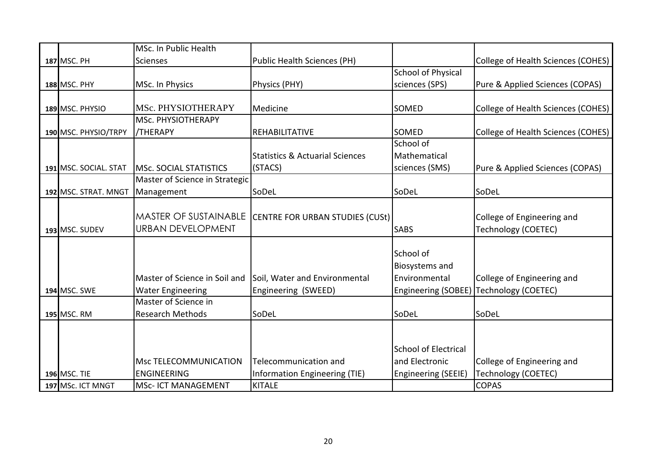|                       | MSc. In Public Health          |                                            |                             |                                    |
|-----------------------|--------------------------------|--------------------------------------------|-----------------------------|------------------------------------|
| <b>187 MSC. PH</b>    | <b>Scienses</b>                | <b>Public Health Sciences (PH)</b>         |                             | College of Health Sciences (COHES) |
|                       |                                |                                            | <b>School of Physical</b>   |                                    |
| <b>188 MSC. PHY</b>   | MSc. In Physics                | Physics (PHY)                              | sciences (SPS)              | Pure & Applied Sciences (COPAS)    |
|                       |                                |                                            |                             |                                    |
| 189 MSC. PHYSIO       | MSc. PHYSIOTHERAPY             | Medicine                                   | <b>SOMED</b>                | College of Health Sciences (COHES) |
|                       | MSc. PHYSIOTHERAPY             |                                            |                             |                                    |
| 190 MSC. PHYSIO/TRPY  | <b>/THERAPY</b>                | <b>REHABILITATIVE</b>                      | <b>SOMED</b>                | College of Health Sciences (COHES) |
|                       |                                |                                            | School of                   |                                    |
|                       |                                | <b>Statistics &amp; Actuarial Sciences</b> | Mathematical                |                                    |
| 191 MSC. SOCIAL. STAT | <b>MSc. SOCIAL STATISTICS</b>  | (STACS)                                    | sciences (SMS)              | Pure & Applied Sciences (COPAS)    |
|                       | Master of Science in Strategic |                                            |                             |                                    |
| 192 MSC. STRAT. MNGT  | Management                     | SoDeL                                      | SoDeL                       | SoDeL                              |
|                       |                                |                                            |                             |                                    |
|                       | <b>MASTER OF SUSTAINABLE</b>   | CENTRE FOR URBAN STUDIES (CUSt)            |                             | College of Engineering and         |
| 193 MSC. SUDEV        | <b>URBAN DEVELOPMENT</b>       |                                            | <b>SABS</b>                 | <b>Technology (COETEC)</b>         |
|                       |                                |                                            |                             |                                    |
|                       |                                |                                            | School of                   |                                    |
|                       |                                |                                            | <b>Biosystems and</b>       |                                    |
|                       | Master of Science in Soil and  | Soil, Water and Environmental              | Environmental               | College of Engineering and         |
| <b>194 MSC. SWE</b>   | <b>Water Engineering</b>       | Engineering (SWEED)                        | Engineering (SOBEE)         | Technology (COETEC)                |
|                       | Master of Science in           |                                            |                             |                                    |
| 195 MSC. RM           | <b>Research Methods</b>        | SoDeL                                      | SoDeL                       | SoDeL                              |
|                       |                                |                                            |                             |                                    |
|                       |                                |                                            |                             |                                    |
|                       |                                |                                            | <b>School of Electrical</b> |                                    |
|                       | Msc TELECOMMUNICATION          | Telecommunication and                      | and Electronic              | College of Engineering and         |
| <b>196 MSC. TIE</b>   | <b>ENGINEERING</b>             | Information Engineering (TIE)              | Engineering (SEEIE)         | <b>Technology (COETEC)</b>         |
| 197 MSc. ICT MNGT     | MSc- ICT MANAGEMENT            | <b>KITALE</b>                              |                             | <b>COPAS</b>                       |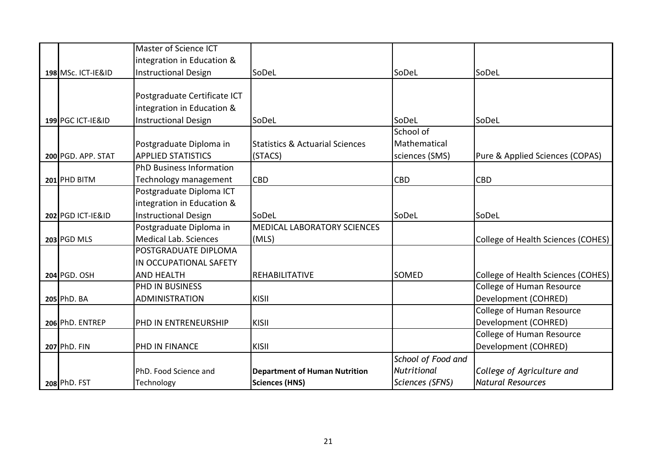|                    | Master of Science ICT           |                                            |                    |                                    |
|--------------------|---------------------------------|--------------------------------------------|--------------------|------------------------------------|
|                    | integration in Education &      |                                            |                    |                                    |
| 198 MSc. ICT-IE&ID | <b>Instructional Design</b>     | SoDeL                                      | SoDeL              | SoDeL                              |
|                    |                                 |                                            |                    |                                    |
|                    | Postgraduate Certificate ICT    |                                            |                    |                                    |
|                    | integration in Education &      |                                            |                    |                                    |
| 199 PGC ICT-IE&ID  | <b>Instructional Design</b>     | SoDeL                                      | SoDeL              | SoDeL                              |
|                    |                                 |                                            | School of          |                                    |
|                    | Postgraduate Diploma in         | <b>Statistics &amp; Actuarial Sciences</b> | Mathematical       |                                    |
| 200 PGD. APP. STAT | <b>APPLIED STATISTICS</b>       | (STACS)                                    | sciences (SMS)     | Pure & Applied Sciences (COPAS)    |
|                    | <b>PhD Business Information</b> |                                            |                    |                                    |
| 201 PHD BITM       | Technology management           | <b>CBD</b>                                 | <b>CBD</b>         | <b>CBD</b>                         |
|                    | Postgraduate Diploma ICT        |                                            |                    |                                    |
|                    | integration in Education &      |                                            |                    |                                    |
| 202 PGD ICT-IE&ID  | <b>Instructional Design</b>     | SoDeL                                      | SoDeL              | SoDeL                              |
|                    | Postgraduate Diploma in         | MEDICAL LABORATORY SCIENCES                |                    |                                    |
| 203 PGD MLS        | Medical Lab. Sciences           | (MLS)                                      |                    | College of Health Sciences (COHES) |
|                    | POSTGRADUATE DIPLOMA            |                                            |                    |                                    |
|                    | IN OCCUPATIONAL SAFETY          |                                            |                    |                                    |
| 204 PGD. OSH       | <b>AND HEALTH</b>               | <b>REHABILITATIVE</b>                      | SOMED              | College of Health Sciences (COHES) |
|                    | PHD IN BUSINESS                 |                                            |                    | <b>College of Human Resource</b>   |
| 205 PhD. BA        | <b>ADMINISTRATION</b>           | KISII                                      |                    | Development (COHRED)               |
|                    |                                 |                                            |                    | College of Human Resource          |
| 206 PhD. ENTREP    | PHD IN ENTRENEURSHIP            | KISII                                      |                    | Development (COHRED)               |
|                    |                                 |                                            |                    | College of Human Resource          |
| 207 PhD. FIN       | PHD IN FINANCE                  | KISII                                      |                    | Development (COHRED)               |
|                    |                                 |                                            | School of Food and |                                    |
|                    | PhD. Food Science and           | <b>Department of Human Nutrition</b>       | <b>Nutritional</b> | College of Agriculture and         |
| 208 PhD. FST       | Technology                      | <b>Sciences (HNS)</b>                      | Sciences (SFNS)    | <b>Natural Resources</b>           |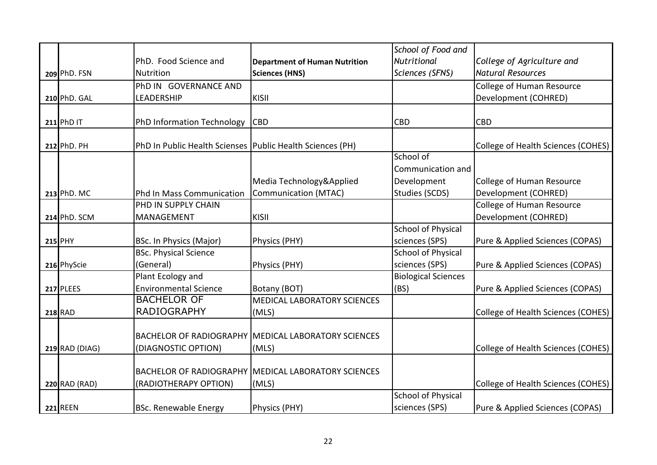|                      |                                                           |                                                            | School of Food and         |                                    |
|----------------------|-----------------------------------------------------------|------------------------------------------------------------|----------------------------|------------------------------------|
|                      | PhD. Food Science and                                     | <b>Department of Human Nutrition</b>                       | <b>Nutritional</b>         | College of Agriculture and         |
| 209 PhD. FSN         | <b>Nutrition</b>                                          | <b>Sciences (HNS)</b>                                      | Sciences (SFNS)            | <b>Natural Resources</b>           |
|                      | PhD IN GOVERNANCE AND                                     |                                                            |                            | <b>College of Human Resource</b>   |
| 210 PhD. GAL         | <b>LEADERSHIP</b>                                         | KISII                                                      |                            | Development (COHRED)               |
|                      |                                                           |                                                            |                            |                                    |
| $211$ PhD IT         | PhD Information Technology                                | <b>CBD</b>                                                 | <b>CBD</b>                 | <b>CBD</b>                         |
| 212 PhD. PH          | PhD In Public Health Scienses Public Health Sciences (PH) |                                                            |                            | College of Health Sciences (COHES) |
|                      |                                                           |                                                            | School of                  |                                    |
|                      |                                                           |                                                            | Communication and          |                                    |
|                      |                                                           | Media Technology&Applied                                   | Development                | College of Human Resource          |
| 213 PhD. MC          | Phd In Mass Communication                                 | <b>Communication (MTAC)</b>                                | Studies (SCDS)             | Development (COHRED)               |
|                      | PHD IN SUPPLY CHAIN                                       |                                                            |                            | <b>College of Human Resource</b>   |
| 214 PhD. SCM         | MANAGEMENT                                                | KISII                                                      |                            | Development (COHRED)               |
|                      |                                                           |                                                            | <b>School of Physical</b>  |                                    |
| 215 PHY              | <b>BSc. In Physics (Major)</b>                            | Physics (PHY)                                              | sciences (SPS)             | Pure & Applied Sciences (COPAS)    |
|                      | <b>BSc. Physical Science</b>                              |                                                            | <b>School of Physical</b>  |                                    |
| 216 PhyScie          | (General)                                                 | Physics (PHY)                                              | sciences (SPS)             | Pure & Applied Sciences (COPAS)    |
|                      | Plant Ecology and                                         |                                                            | <b>Biological Sciences</b> |                                    |
| 217 PLEES            | <b>Environmental Science</b>                              | Botany (BOT)                                               | (BS)                       | Pure & Applied Sciences (COPAS)    |
|                      | <b>BACHELOR OF</b>                                        | <b>MEDICAL LABORATORY SCIENCES</b>                         |                            |                                    |
| <b>218 RAD</b>       | <b>RADIOGRAPHY</b>                                        | (MLS)                                                      |                            | College of Health Sciences (COHES) |
|                      |                                                           |                                                            |                            |                                    |
|                      |                                                           | <b>BACHELOR OF RADIOGRAPHY MEDICAL LABORATORY SCIENCES</b> |                            |                                    |
| 219 RAD (DIAG)       | (DIAGNOSTIC OPTION)                                       | (MLS)                                                      |                            | College of Health Sciences (COHES) |
|                      |                                                           | <b>BACHELOR OF RADIOGRAPHY MEDICAL LABORATORY SCIENCES</b> |                            |                                    |
|                      |                                                           |                                                            |                            |                                    |
| <b>220 RAD (RAD)</b> | (RADIOTHERAPY OPTION)                                     | (MLS)                                                      | <b>School of Physical</b>  | College of Health Sciences (COHES) |
| <b>221 REEN</b>      | <b>BSc. Renewable Energy</b>                              | Physics (PHY)                                              | sciences (SPS)             | Pure & Applied Sciences (COPAS)    |
|                      |                                                           |                                                            |                            |                                    |